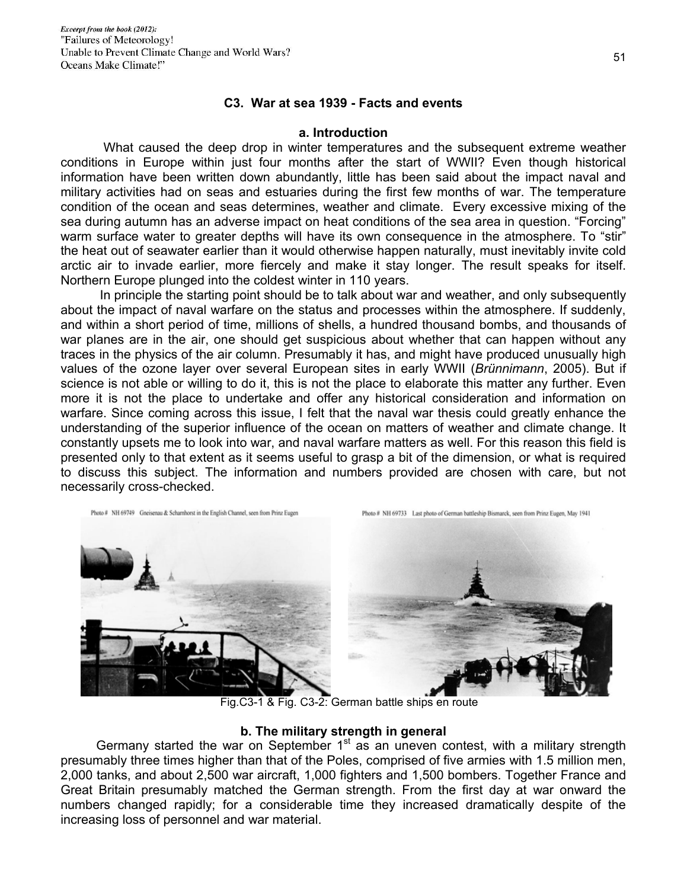### **C3. War at sea 1939 - Facts and events**

### **a. Introduction**

 What caused the deep drop in winter temperatures and the subsequent extreme weather conditions in Europe within just four months after the start of WWII? Even though historical information have been written down abundantly, little has been said about the impact naval and military activities had on seas and estuaries during the first few months of war. The temperature condition of the ocean and seas determines, weather and climate. Every excessive mixing of the sea during autumn has an adverse impact on heat conditions of the sea area in question. "Forcing" warm surface water to greater depths will have its own consequence in the atmosphere. To "stir" the heat out of seawater earlier than it would otherwise happen naturally, must inevitably invite cold arctic air to invade earlier, more fiercely and make it stay longer. The result speaks for itself. Northern Europe plunged into the coldest winter in 110 years.

 In principle the starting point should be to talk about war and weather, and only subsequently about the impact of naval warfare on the status and processes within the atmosphere. If suddenly, and within a short period of time, millions of shells, a hundred thousand bombs, and thousands of war planes are in the air, one should get suspicious about whether that can happen without any traces in the physics of the air column. Presumably it has, and might have produced unusually high values of the ozone layer over several European sites in early WWII (*Brünnimann*, 2005). But if science is not able or willing to do it, this is not the place to elaborate this matter any further. Even more it is not the place to undertake and offer any historical consideration and information on warfare. Since coming across this issue, I felt that the naval war thesis could greatly enhance the understanding of the superior influence of the ocean on matters of weather and climate change. It constantly upsets me to look into war, and naval warfare matters as well. For this reason this field is presented only to that extent as it seems useful to grasp a bit of the dimension, or what is required to discuss this subject. The information and numbers provided are chosen with care, but not necessarily cross-checked.



Fig.C3-1 & Fig. C3-2: German battle ships en route

## **b. The military strength in general**

Germany started the war on September 1<sup>st</sup> as an uneven contest, with a military strength presumably three times higher than that of the Poles, comprised of five armies with 1.5 million men, 2,000 tanks, and about 2,500 war aircraft, 1,000 fighters and 1,500 bombers. Together France and Great Britain presumably matched the German strength. From the first day at war onward the numbers changed rapidly; for a considerable time they increased dramatically despite of the increasing loss of personnel and war material.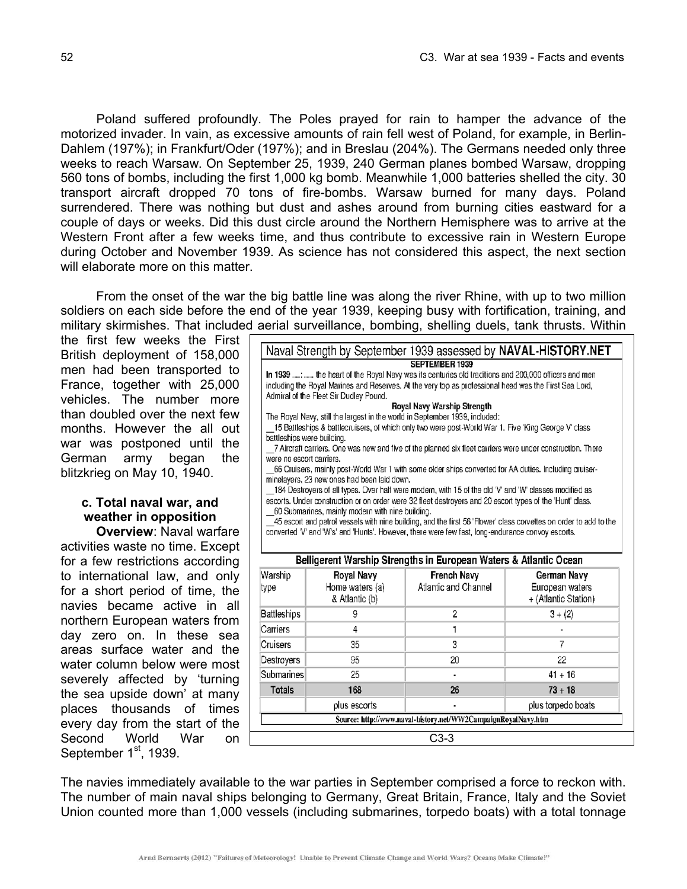Poland suffered profoundly. The Poles prayed for rain to hamper the advance of the motorized invader. In vain, as excessive amounts of rain fell west of Poland, for example, in Berlin-Dahlem (197%); in Frankfurt/Oder (197%); and in Breslau (204%). The Germans needed only three weeks to reach Warsaw. On September 25, 1939, 240 German planes bombed Warsaw, dropping 560 tons of bombs, including the first 1,000 kg bomb. Meanwhile 1,000 batteries shelled the city. 30 transport aircraft dropped 70 tons of fire-bombs. Warsaw burned for many days. Poland surrendered. There was nothing but dust and ashes around from burning cities eastward for a couple of days or weeks. Did this dust circle around the Northern Hemisphere was to arrive at the Western Front after a few weeks time, and thus contribute to excessive rain in Western Europe during October and November 1939. As science has not considered this aspect, the next section will elaborate more on this matter.

 From the onset of the war the big battle line was along the river Rhine, with up to two million soldiers on each side before the end of the year 1939, keeping busy with fortification, training, and military skirmishes. That included aerial surveillance, bombing, shelling duels, tank thrusts. Within

the first few weeks the First British deployment of 158,000 men had been transported to France, together with 25,000 vehicles. The number more than doubled over the next few months. However the all out war was postponed until the German army began the blitzkrieg on May 10, 1940.

# **c. Total naval war, and weather in opposition**

 **Overview**: Naval warfare activities waste no time. Except for a few restrictions according to international law, and only for a short period of time, the navies became active in all northern European waters from day zero on. In these sea areas surface water and the water column below were most severely affected by 'turning the sea upside down' at many places thousands of times every day from the start of the Second World War on September 1<sup>st</sup>, 1939.

|                                                                                                                                                                                                                        |                 | Naval Strength by September 1939 assessed by NAVAL-HISTORY.NET    |                      |  |  |  |  |
|------------------------------------------------------------------------------------------------------------------------------------------------------------------------------------------------------------------------|-----------------|-------------------------------------------------------------------|----------------------|--|--|--|--|
|                                                                                                                                                                                                                        |                 | SEPTEMBER 1939                                                    |                      |  |  |  |  |
| In 1939 :  the heart of the Royal Navy was its centuries old traditions and 200,000 officers and men                                                                                                                   |                 |                                                                   |                      |  |  |  |  |
| including the Royal Marines and Reserves. At the very top as professional head was the First Sea Lord,<br>Admiral of the Fleet Sir Dudley Pound.                                                                       |                 |                                                                   |                      |  |  |  |  |
|                                                                                                                                                                                                                        |                 | Royal Navy Warship Strength                                       |                      |  |  |  |  |
| The Royal Navy, still the largest in the world in September 1939, included:                                                                                                                                            |                 |                                                                   |                      |  |  |  |  |
| 15 Battleships & battlecruisers, of which only two were post-World War 1. Five 'King George V' class                                                                                                                   |                 |                                                                   |                      |  |  |  |  |
| battleships were building.                                                                                                                                                                                             |                 |                                                                   |                      |  |  |  |  |
| 7 Aircraft carriers. One was new and five of the planned six fleet carriers were under construction. There                                                                                                             |                 |                                                                   |                      |  |  |  |  |
| were no escort carriers.<br>66 Cruisers, mainly post-World War 1 with some older ships converted for AA duties. Including cruiser-                                                                                     |                 |                                                                   |                      |  |  |  |  |
| minelayers, 23 new ones had been laid down.                                                                                                                                                                            |                 |                                                                   |                      |  |  |  |  |
| 184 Destroyers of all types. Over half were modern, with 15 of the old 'V' and 'W' classes modified as                                                                                                                 |                 |                                                                   |                      |  |  |  |  |
| escorts. Under construction or on order were 32 fleet destroyers and 20 escort types of the 'Hunt' class.                                                                                                              |                 |                                                                   |                      |  |  |  |  |
| 60 Submarines, mainly modern with nine building.                                                                                                                                                                       |                 |                                                                   |                      |  |  |  |  |
| 45 escort and patrol vessels with nine building, and the first 56 'Flower' class corvettes on order to add to the<br>converted 'V' and 'W's' and 'Hunts'. However, there were few fast, long-endurance convoy escorts. |                 |                                                                   |                      |  |  |  |  |
|                                                                                                                                                                                                                        |                 |                                                                   |                      |  |  |  |  |
|                                                                                                                                                                                                                        |                 |                                                                   |                      |  |  |  |  |
|                                                                                                                                                                                                                        |                 |                                                                   |                      |  |  |  |  |
|                                                                                                                                                                                                                        |                 | Belligerent Warship Strengths in European Waters & Atlantic Ocean |                      |  |  |  |  |
| Warship                                                                                                                                                                                                                | Royal Navy      | French Navv                                                       | German Navy          |  |  |  |  |
| type                                                                                                                                                                                                                   | Home waters (a) | Atlantic and Channel                                              | European waters      |  |  |  |  |
|                                                                                                                                                                                                                        | & Atlantic (b)  |                                                                   | + (Atlantic Station) |  |  |  |  |
| Battleships                                                                                                                                                                                                            | 9               | 2                                                                 | $3 + (2)$            |  |  |  |  |
| Carriers                                                                                                                                                                                                               | 4               | 1                                                                 |                      |  |  |  |  |
| Cruisers                                                                                                                                                                                                               | 35              | 3                                                                 | 7                    |  |  |  |  |
| Destrovers                                                                                                                                                                                                             | 95              | 20                                                                | 22                   |  |  |  |  |
| Submarines                                                                                                                                                                                                             | 25              |                                                                   | $41 + 16$            |  |  |  |  |
| <b>Totals</b>                                                                                                                                                                                                          | 168             | 26                                                                | $73 + 18$            |  |  |  |  |
|                                                                                                                                                                                                                        | plus escorts    |                                                                   | plus torpedo boats   |  |  |  |  |

C3-3

The navies immediately available to the war parties in September comprised a force to reckon with. The number of main naval ships belonging to Germany, Great Britain, France, Italy and the Soviet Union counted more than 1,000 vessels (including submarines, torpedo boats) with a total tonnage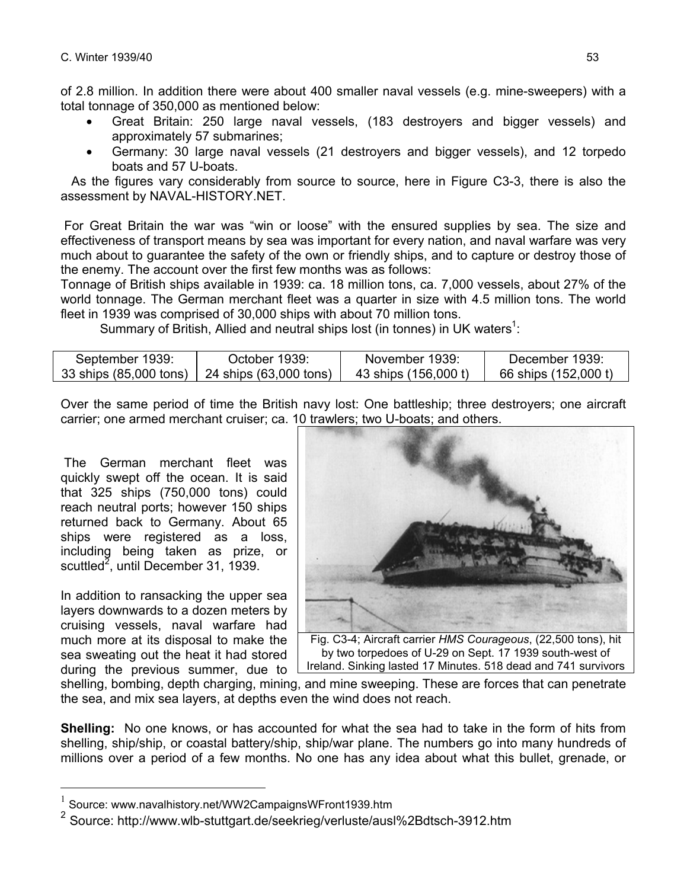of 2.8 million. In addition there were about 400 smaller naval vessels (e.g. mine-sweepers) with a total tonnage of 350,000 as mentioned below:

- Great Britain: 250 large naval vessels, (183 destroyers and bigger vessels) and approximately 57 submarines;
- Germany: 30 large naval vessels (21 destroyers and bigger vessels), and 12 torpedo boats and 57 U-boats.

 As the figures vary considerably from source to source, here in Figure C3-3, there is also the assessment by NAVAL-HISTORY.NET.

 For Great Britain the war was "win or loose" with the ensured supplies by sea. The size and effectiveness of transport means by sea was important for every nation, and naval warfare was very much about to guarantee the safety of the own or friendly ships, and to capture or destroy those of the enemy. The account over the first few months was as follows:

Tonnage of British ships available in 1939: ca. 18 million tons, ca. 7,000 vessels, about 27% of the world tonnage. The German merchant fleet was a quarter in size with 4.5 million tons. The world fleet in 1939 was comprised of 30,000 ships with about 70 million tons.

Summary of British, Allied and neutral ships lost (in tonnes) in UK waters<sup>1</sup>:

| September 1939: | October 1939:                                 | November 1939:       | December 1939:       |
|-----------------|-----------------------------------------------|----------------------|----------------------|
|                 | 33 ships (85,000 tons) 24 ships (63,000 tons) | 43 ships (156.000 t) | 66 ships (152,000 t) |

Over the same period of time the British navy lost: One battleship; three destroyers; one aircraft carrier; one armed merchant cruiser; ca. 10 trawlers; two U-boats; and others.

 The German merchant fleet was quickly swept off the ocean. It is said that 325 ships (750,000 tons) could reach neutral ports; however 150 ships returned back to Germany. About 65 ships were registered as a loss, including being taken as prize, or scuttled<sup>2</sup>, until December 31, 1939.

In addition to ransacking the upper sea layers downwards to a dozen meters by cruising vessels, naval warfare had much more at its disposal to make the sea sweating out the heat it had stored during the previous summer, due to

 $\overline{a}$ 



Fig. C3-4; Aircraft carrier *HMS Courageous*, (22,500 tons), hit by two torpedoes of U-29 on Sept. 17 1939 south-west of Ireland. Sinking lasted 17 Minutes. 518 dead and 741 survivors

shelling, bombing, depth charging, mining, and mine sweeping. These are forces that can penetrate the sea, and mix sea layers, at depths even the wind does not reach.

**Shelling:** No one knows, or has accounted for what the sea had to take in the form of hits from shelling, ship/ship, or coastal battery/ship, ship/war plane. The numbers go into many hundreds of millions over a period of a few months. No one has any idea about what this bullet, grenade, or

<sup>1</sup> Source: www.navalhistory.net/WW2CampaignsWFront1939.htm

<sup>&</sup>lt;sup>2</sup> Source: http://www.wlb-stuttgart.de/seekrieg/verluste/ausl%2Bdtsch-3912.htm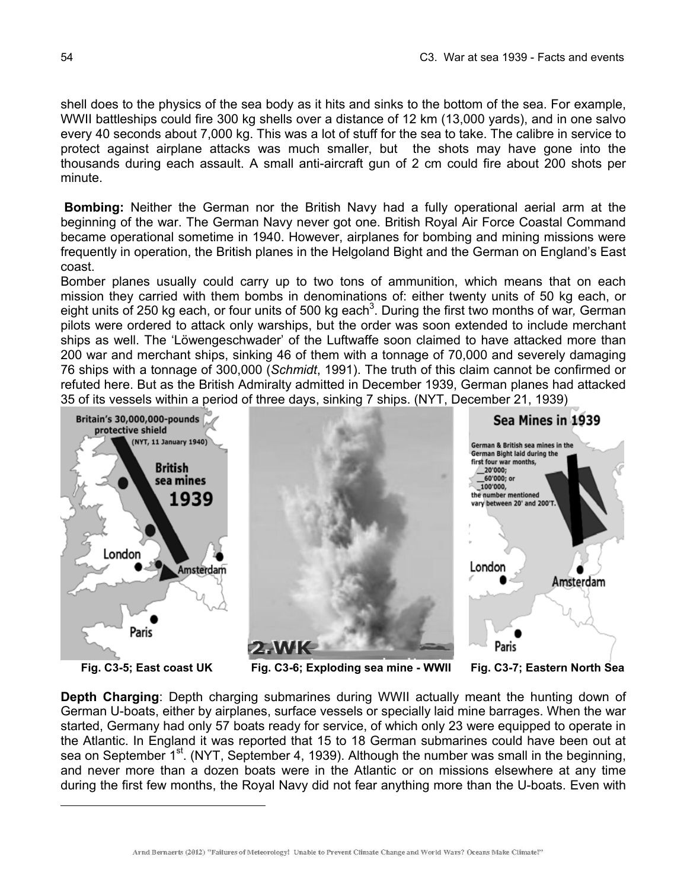shell does to the physics of the sea body as it hits and sinks to the bottom of the sea. For example, WWII battleships could fire 300 kg shells over a distance of 12 km (13,000 yards), and in one salvo every 40 seconds about 7,000 kg. This was a lot of stuff for the sea to take. The calibre in service to protect against airplane attacks was much smaller, but the shots may have gone into the thousands during each assault. A small anti-aircraft gun of 2 cm could fire about 200 shots per minute.

 **Bombing:** Neither the German nor the British Navy had a fully operational aerial arm at the beginning of the war. The German Navy never got one. British Royal Air Force Coastal Command became operational sometime in 1940. However, airplanes for bombing and mining missions were frequently in operation, the British planes in the Helgoland Bight and the German on England's East coast.

Bomber planes usually could carry up to two tons of ammunition, which means that on each mission they carried with them bombs in denominations of: either twenty units of 50 kg each, or eight units of 250 kg each, or four units of 500 kg each<sup>3</sup>. During the first two months of war, German pilots were ordered to attack only warships, but the order was soon extended to include merchant ships as well. The 'Löwengeschwader' of the Luftwaffe soon claimed to have attacked more than 200 war and merchant ships, sinking 46 of them with a tonnage of 70,000 and severely damaging 76 ships with a tonnage of 300,000 (*Schmidt*, 1991). The truth of this claim cannot be confirmed or refuted here. But as the British Admiralty admitted in December 1939, German planes had attacked 35 of its vessels within a period of three days, sinking 7 ships. (NYT, December 21, 1939)



 $\overline{a}$ 

**Depth Charging**: Depth charging submarines during WWII actually meant the hunting down of German U-boats, either by airplanes, surface vessels or specially laid mine barrages. When the war started, Germany had only 57 boats ready for service, of which only 23 were equipped to operate in the Atlantic. In England it was reported that 15 to 18 German submarines could have been out at sea on September 1<sup>st</sup>. (NYT, September 4, 1939). Although the number was small in the beginning, and never more than a dozen boats were in the Atlantic or on missions elsewhere at any time during the first few months, the Royal Navy did not fear anything more than the U-boats. Even with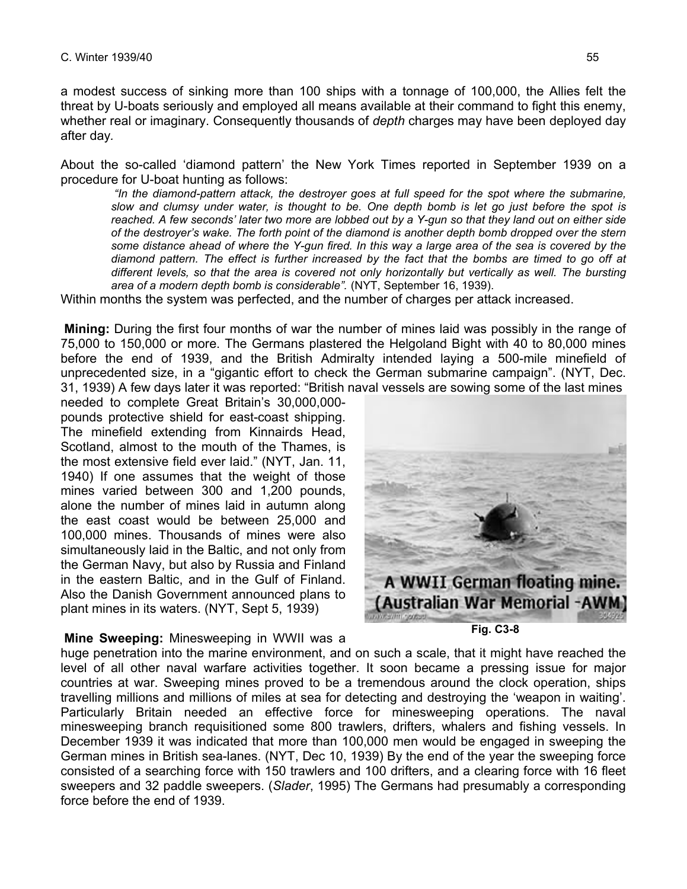a modest success of sinking more than 100 ships with a tonnage of 100,000, the Allies felt the threat by U-boats seriously and employed all means available at their command to fight this enemy, whether real or imaginary. Consequently thousands of *depth* charges may have been deployed day after day*.* 

About the so-called 'diamond pattern' the New York Times reported in September 1939 on a procedure for U-boat hunting as follows:

 *"In the diamond-pattern attack, the destroyer goes at full speed for the spot where the submarine, slow and clumsy under water, is thought to be. One depth bomb is let go just before the spot is reached. A few seconds' later two more are lobbed out by a Y-gun so that they land out on either side of the destroyer's wake. The forth point of the diamond is another depth bomb dropped over the stern some distance ahead of where the Y-gun fired. In this way a large area of the sea is covered by the diamond pattern. The effect is further increased by the fact that the bombs are timed to go off at different levels, so that the area is covered not only horizontally but vertically as well. The bursting area of a modern depth bomb is considerable".* (NYT, September 16, 1939).

Within months the system was perfected, and the number of charges per attack increased.

 **Mining:** During the first four months of war the number of mines laid was possibly in the range of 75,000 to 150,000 or more. The Germans plastered the Helgoland Bight with 40 to 80,000 mines before the end of 1939, and the British Admiralty intended laying a 500-mile minefield of unprecedented size, in a "gigantic effort to check the German submarine campaign". (NYT, Dec. 31, 1939) A few days later it was reported: "British naval vessels are sowing some of the last mines

needed to complete Great Britain's 30,000,000 pounds protective shield for east-coast shipping. The minefield extending from Kinnairds Head, Scotland, almost to the mouth of the Thames, is the most extensive field ever laid." (NYT, Jan. 11, 1940) If one assumes that the weight of those mines varied between 300 and 1,200 pounds, alone the number of mines laid in autumn along the east coast would be between 25,000 and 100,000 mines. Thousands of mines were also simultaneously laid in the Baltic, and not only from the German Navy, but also by Russia and Finland in the eastern Baltic, and in the Gulf of Finland. Also the Danish Government announced plans to plant mines in its waters. (NYT, Sept 5, 1939)

 **Mine Sweeping:** Minesweeping in WWII was a



**Fig. C3-8**

huge penetration into the marine environment, and on such a scale, that it might have reached the level of all other naval warfare activities together. It soon became a pressing issue for major countries at war. Sweeping mines proved to be a tremendous around the clock operation, ships travelling millions and millions of miles at sea for detecting and destroying the 'weapon in waiting'. Particularly Britain needed an effective force for minesweeping operations. The naval minesweeping branch requisitioned some 800 trawlers, drifters, whalers and fishing vessels. In December 1939 it was indicated that more than 100,000 men would be engaged in sweeping the German mines in British sea-lanes. (NYT, Dec 10, 1939) By the end of the year the sweeping force consisted of a searching force with 150 trawlers and 100 drifters, and a clearing force with 16 fleet sweepers and 32 paddle sweepers. (*Slader*, 1995) The Germans had presumably a corresponding force before the end of 1939.